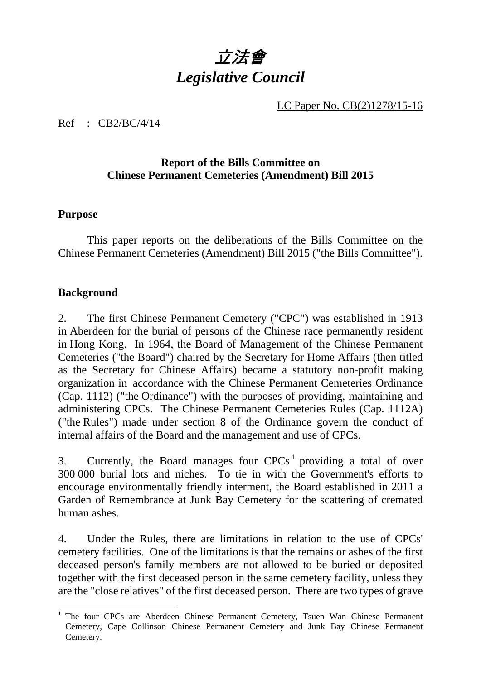# 立法會 *Legislative Council*

LC Paper No. CB(2)1278/15-16

Ref : CB2/BC/4/14

#### **Report of the Bills Committee on Chinese Permanent Cemeteries (Amendment) Bill 2015**

#### **Purpose**

1. This paper reports on the deliberations of the Bills Committee on the Chinese Permanent Cemeteries (Amendment) Bill 2015 ("the Bills Committee").

#### **Background**

-

2. The first Chinese Permanent Cemetery ("CPC") was established in 1913 in Aberdeen for the burial of persons of the Chinese race permanently resident in Hong Kong. In 1964, the Board of Management of the Chinese Permanent Cemeteries ("the Board") chaired by the Secretary for Home Affairs (then titled as the Secretary for Chinese Affairs) became a statutory non-profit making organization in accordance with the Chinese Permanent Cemeteries Ordinance (Cap. 1112) ("the Ordinance") with the purposes of providing, maintaining and administering CPCs. The Chinese Permanent Cemeteries Rules (Cap. 1112A) ("the Rules") made under section 8 of the Ordinance govern the conduct of internal affairs of the Board and the management and use of CPCs.

3. Currently, the Board manages four  $CPCs<sup>1</sup>$  providing a total of over 300 000 burial lots and niches. To tie in with the Government's efforts to encourage environmentally friendly interment, the Board established in 2011 a Garden of Remembrance at Junk Bay Cemetery for the scattering of cremated human ashes.

4. Under the Rules, there are limitations in relation to the use of CPCs' cemetery facilities. One of the limitations is that the remains or ashes of the first deceased person's family members are not allowed to be buried or deposited together with the first deceased person in the same cemetery facility, unless they are the "close relatives" of the first deceased person. There are two types of grave

<sup>&</sup>lt;sup>1</sup> The four CPCs are Aberdeen Chinese Permanent Cemetery, Tsuen Wan Chinese Permanent Cemetery, Cape Collinson Chinese Permanent Cemetery and Junk Bay Chinese Permanent Cemetery.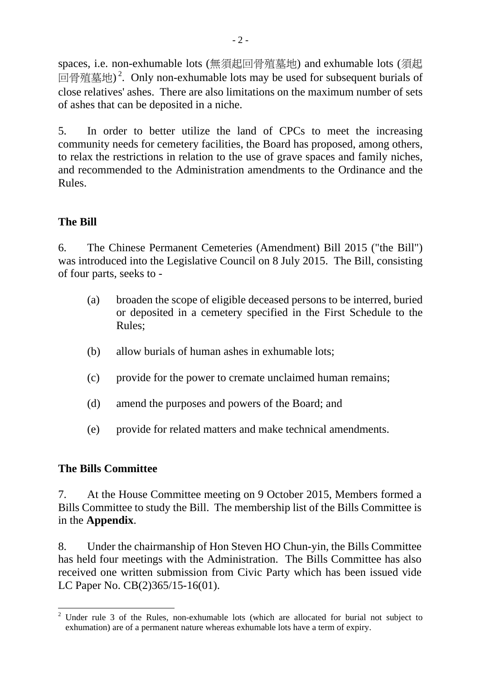spaces, i.e. non-exhumable lots (無須起回骨殖墓地) and exhumable lots (須起 回骨殖墓地)<sup>2</sup>. Only non-exhumable lots may be used for subsequent burials of close relatives' ashes. There are also limitations on the maximum number of sets of ashes that can be deposited in a niche.

5. In order to better utilize the land of CPCs to meet the increasing community needs for cemetery facilities, the Board has proposed, among others, to relax the restrictions in relation to the use of grave spaces and family niches, and recommended to the Administration amendments to the Ordinance and the Rules.

#### **The Bill**

6. The Chinese Permanent Cemeteries (Amendment) Bill 2015 ("the Bill") was introduced into the Legislative Council on 8 July 2015. The Bill, consisting of four parts, seeks to -

- (a) broaden the scope of eligible deceased persons to be interred, buried or deposited in a cemetery specified in the First Schedule to the Rules;
- (b) allow burials of human ashes in exhumable lots;
- (c) provide for the power to cremate unclaimed human remains;
- (d) amend the purposes and powers of the Board; and
- (e) provide for related matters and make technical amendments.

# **The Bills Committee**

7. At the House Committee meeting on 9 October 2015, Members formed a Bills Committee to study the Bill. The membership list of the Bills Committee is in the **Appendix**.

8. Under the chairmanship of Hon Steven HO Chun-yin, the Bills Committee has held four meetings with the Administration. The Bills Committee has also received one written submission from Civic Party which has been issued vide LC Paper No. CB(2)365/15-16(01).

<sup>-</sup><sup>2</sup> Under rule 3 of the Rules, non-exhumable lots (which are allocated for burial not subject to exhumation) are of a permanent nature whereas exhumable lots have a term of expiry.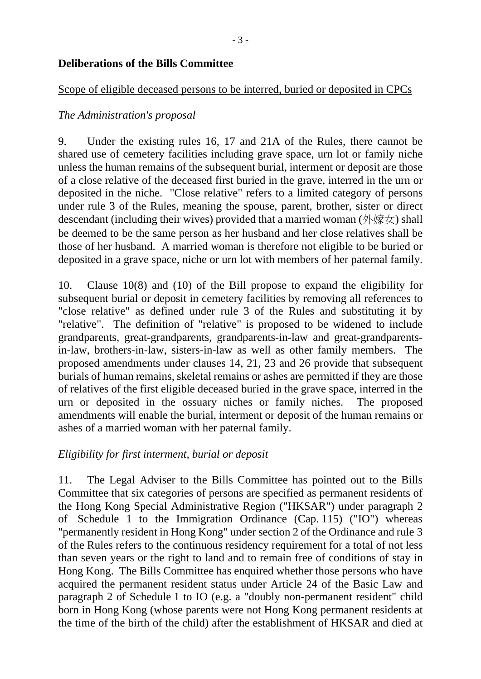#### **Deliberations of the Bills Committee**

#### Scope of eligible deceased persons to be interred, buried or deposited in CPCs

#### *The Administration's proposal*

9. Under the existing rules 16, 17 and 21A of the Rules, there cannot be shared use of cemetery facilities including grave space, urn lot or family niche unless the human remains of the subsequent burial, interment or deposit are those of a close relative of the deceased first buried in the grave, interred in the urn or deposited in the niche. "Close relative" refers to a limited category of persons under rule 3 of the Rules, meaning the spouse, parent, brother, sister or direct descendant (including their wives) provided that a married woman (外嫁女) shall be deemed to be the same person as her husband and her close relatives shall be those of her husband. A married woman is therefore not eligible to be buried or deposited in a grave space, niche or urn lot with members of her paternal family.

10. Clause 10(8) and (10) of the Bill propose to expand the eligibility for subsequent burial or deposit in cemetery facilities by removing all references to "close relative" as defined under rule 3 of the Rules and substituting it by "relative". The definition of "relative" is proposed to be widened to include grandparents, great-grandparents, grandparents-in-law and great-grandparentsin-law, brothers-in-law, sisters-in-law as well as other family members. The proposed amendments under clauses 14, 21, 23 and 26 provide that subsequent burials of human remains, skeletal remains or ashes are permitted if they are those of relatives of the first eligible deceased buried in the grave space, interred in the urn or deposited in the ossuary niches or family niches. The proposed amendments will enable the burial, interment or deposit of the human remains or ashes of a married woman with her paternal family.

#### *Eligibility for first interment, burial or deposit*

11. The Legal Adviser to the Bills Committee has pointed out to the Bills Committee that six categories of persons are specified as permanent residents of the Hong Kong Special Administrative Region ("HKSAR") under paragraph 2 of Schedule 1 to the Immigration Ordinance (Cap. 115) ("IO") whereas "permanently resident in Hong Kong" under section 2 of the Ordinance and rule 3 of the Rules refers to the continuous residency requirement for a total of not less than seven years or the right to land and to remain free of conditions of stay in Hong Kong. The Bills Committee has enquired whether those persons who have acquired the permanent resident status under Article 24 of the Basic Law and paragraph 2 of Schedule 1 to IO (e.g. a "doubly non-permanent resident" child born in Hong Kong (whose parents were not Hong Kong permanent residents at the time of the birth of the child) after the establishment of HKSAR and died at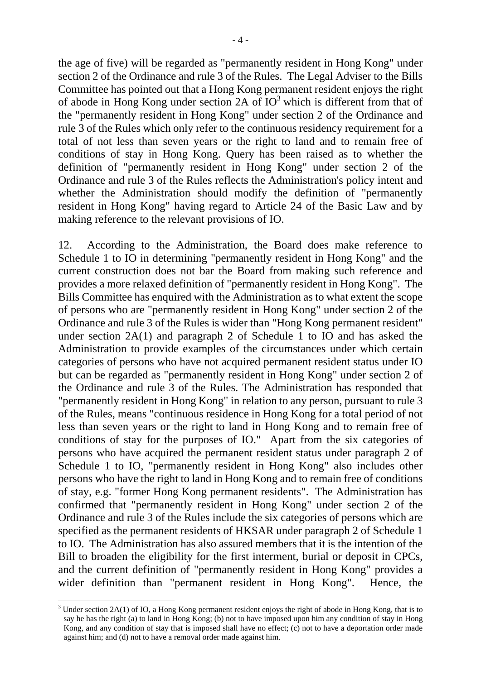the age of five) will be regarded as "permanently resident in Hong Kong" under section 2 of the Ordinance and rule 3 of the Rules. The Legal Adviser to the Bills Committee has pointed out that a Hong Kong permanent resident enjoys the right of abode in Hong Kong under section  $2A$  of  $IO<sup>3</sup>$  which is different from that of the "permanently resident in Hong Kong" under section 2 of the Ordinance and rule 3 of the Rules which only refer to the continuous residency requirement for a total of not less than seven years or the right to land and to remain free of conditions of stay in Hong Kong. Query has been raised as to whether the definition of "permanently resident in Hong Kong" under section 2 of the Ordinance and rule 3 of the Rules reflects the Administration's policy intent and whether the Administration should modify the definition of "permanently resident in Hong Kong" having regard to Article 24 of the Basic Law and by making reference to the relevant provisions of IO.

12. According to the Administration, the Board does make reference to Schedule 1 to IO in determining "permanently resident in Hong Kong" and the current construction does not bar the Board from making such reference and provides a more relaxed definition of "permanently resident in Hong Kong". The Bills Committee has enquired with the Administration as to what extent the scope of persons who are "permanently resident in Hong Kong" under section 2 of the Ordinance and rule 3 of the Rules is wider than "Hong Kong permanent resident" under section 2A(1) and paragraph 2 of Schedule 1 to IO and has asked the Administration to provide examples of the circumstances under which certain categories of persons who have not acquired permanent resident status under IO but can be regarded as "permanently resident in Hong Kong" under section 2 of the Ordinance and rule 3 of the Rules. The Administration has responded that "permanently resident in Hong Kong" in relation to any person, pursuant to rule 3 of the Rules, means "continuous residence in Hong Kong for a total period of not less than seven years or the right to land in Hong Kong and to remain free of conditions of stay for the purposes of IO." Apart from the six categories of persons who have acquired the permanent resident status under paragraph 2 of Schedule 1 to IO, "permanently resident in Hong Kong" also includes other persons who have the right to land in Hong Kong and to remain free of conditions of stay, e.g. "former Hong Kong permanent residents". The Administration has confirmed that "permanently resident in Hong Kong" under section 2 of the Ordinance and rule 3 of the Rules include the six categories of persons which are specified as the permanent residents of HKSAR under paragraph 2 of Schedule 1 to IO. The Administration has also assured members that it is the intention of the Bill to broaden the eligibility for the first interment, burial or deposit in CPCs, and the current definition of "permanently resident in Hong Kong" provides a wider definition than "permanent resident in Hong Kong". Hence, the

-

 $3$  Under section 2A(1) of IO, a Hong Kong permanent resident enjoys the right of abode in Hong Kong, that is to say he has the right (a) to land in Hong Kong; (b) not to have imposed upon him any condition of stay in Hong Kong, and any condition of stay that is imposed shall have no effect; (c) not to have a deportation order made against him; and (d) not to have a removal order made against him.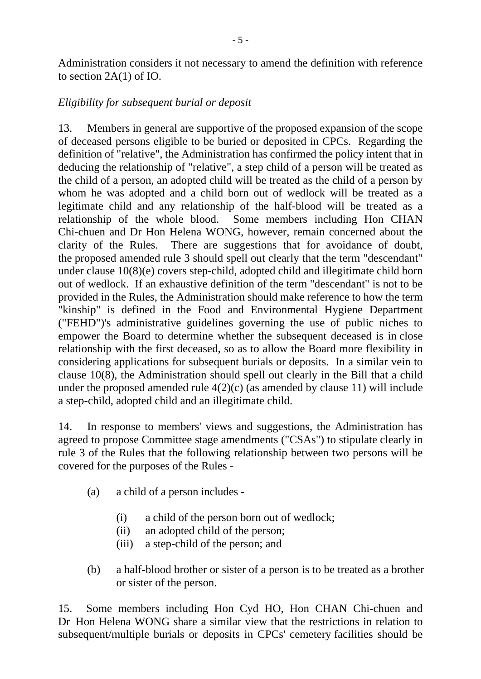Administration considers it not necessary to amend the definition with reference to section 2A(1) of IO.

#### *Eligibility for subsequent burial or deposit*

13. Members in general are supportive of the proposed expansion of the scope of deceased persons eligible to be buried or deposited in CPCs. Regarding the definition of "relative", the Administration has confirmed the policy intent that in deducing the relationship of "relative", a step child of a person will be treated as the child of a person, an adopted child will be treated as the child of a person by whom he was adopted and a child born out of wedlock will be treated as a legitimate child and any relationship of the half-blood will be treated as a relationship of the whole blood. Some members including Hon CHAN Chi-chuen and Dr Hon Helena WONG, however, remain concerned about the clarity of the Rules. There are suggestions that for avoidance of doubt, the proposed amended rule 3 should spell out clearly that the term "descendant" under clause 10(8)(e) covers step-child, adopted child and illegitimate child born out of wedlock. If an exhaustive definition of the term "descendant" is not to be provided in the Rules, the Administration should make reference to how the term "kinship" is defined in the Food and Environmental Hygiene Department ("FEHD")'s administrative guidelines governing the use of public niches to empower the Board to determine whether the subsequent deceased is in close relationship with the first deceased, so as to allow the Board more flexibility in considering applications for subsequent burials or deposits. In a similar vein to clause 10(8), the Administration should spell out clearly in the Bill that a child under the proposed amended rule  $4(2)(c)$  (as amended by clause 11) will include a step-child, adopted child and an illegitimate child.

14. In response to members' views and suggestions, the Administration has agreed to propose Committee stage amendments ("CSAs") to stipulate clearly in rule 3 of the Rules that the following relationship between two persons will be covered for the purposes of the Rules -

- (a) a child of a person includes
	- (i) a child of the person born out of wedlock;
	- (ii) an adopted child of the person;
	- (iii) a step-child of the person; and
- (b) a half-blood brother or sister of a person is to be treated as a brother or sister of the person.

15. Some members including Hon Cyd HO, Hon CHAN Chi-chuen and Dr Hon Helena WONG share a similar view that the restrictions in relation to subsequent/multiple burials or deposits in CPCs' cemetery facilities should be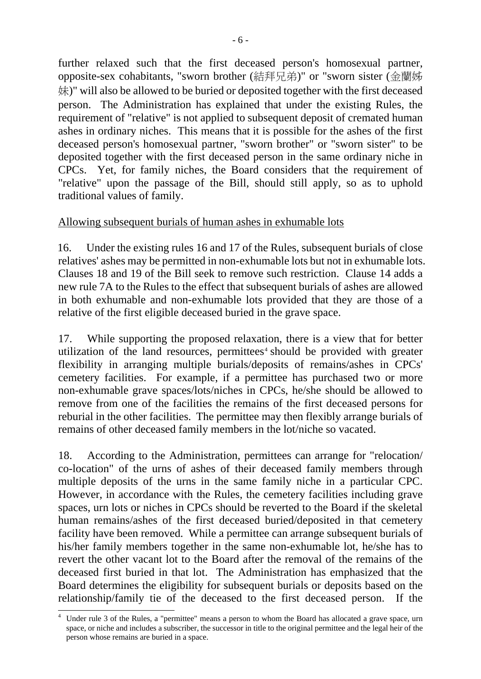further relaxed such that the first deceased person's homosexual partner, opposite-sex cohabitants, "sworn brother (結拜兄弟)" or "sworn sister (金蘭姊 妹)" will also be allowed to be buried or deposited together with the first deceased person. The Administration has explained that under the existing Rules, the requirement of "relative" is not applied to subsequent deposit of cremated human ashes in ordinary niches. This means that it is possible for the ashes of the first deceased person's homosexual partner, "sworn brother" or "sworn sister" to be deposited together with the first deceased person in the same ordinary niche in CPCs. Yet, for family niches, the Board considers that the requirement of "relative" upon the passage of the Bill, should still apply, so as to uphold traditional values of family.

# Allowing subsequent burials of human ashes in exhumable lots

16. Under the existing rules 16 and 17 of the Rules, subsequent burials of close relatives' ashes may be permitted in non-exhumable lots but not in exhumable lots. Clauses 18 and 19 of the Bill seek to remove such restriction. Clause 14 adds a new rule 7A to the Rules to the effect that subsequent burials of ashes are allowed in both exhumable and non-exhumable lots provided that they are those of a relative of the first eligible deceased buried in the grave space.

17. While supporting the proposed relaxation, there is a view that for better utilization of the land resources, permittees<sup> $4$ </sup> should be provided with greater flexibility in arranging multiple burials/deposits of remains/ashes in CPCs' cemetery facilities. For example, if a permittee has purchased two or more non-exhumable grave spaces/lots/niches in CPCs, he/she should be allowed to remove from one of the facilities the remains of the first deceased persons for reburial in the other facilities. The permittee may then flexibly arrange burials of remains of other deceased family members in the lot/niche so vacated.

18. According to the Administration, permittees can arrange for "relocation/ co-location" of the urns of ashes of their deceased family members through multiple deposits of the urns in the same family niche in a particular CPC. However, in accordance with the Rules, the cemetery facilities including grave spaces, urn lots or niches in CPCs should be reverted to the Board if the skeletal human remains/ashes of the first deceased buried/deposited in that cemetery facility have been removed. While a permittee can arrange subsequent burials of his/her family members together in the same non-exhumable lot, he/she has to revert the other vacant lot to the Board after the removal of the remains of the deceased first buried in that lot. The Administration has emphasized that the Board determines the eligibility for subsequent burials or deposits based on the relationship/family tie of the deceased to the first deceased person. If the

<sup>4</sup> Under rule 3 of the Rules, a "permittee" means a person to whom the Board has allocated a grave space, urn space, or niche and includes a subscriber, the successor in title to the original permittee and the legal heir of the person whose remains are buried in a space.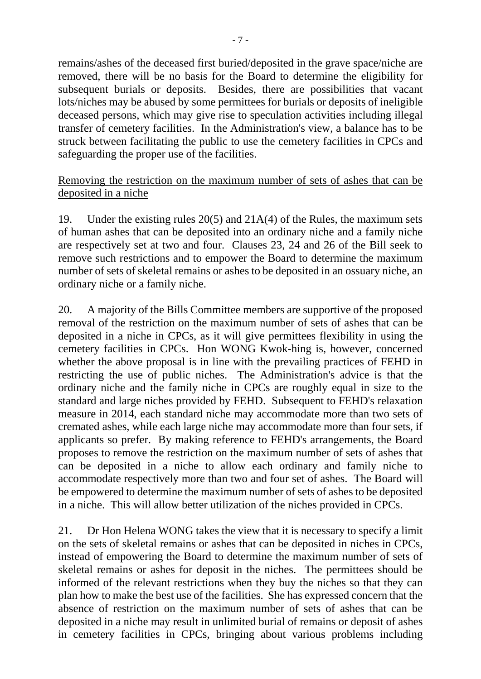remains/ashes of the deceased first buried/deposited in the grave space/niche are removed, there will be no basis for the Board to determine the eligibility for subsequent burials or deposits. Besides, there are possibilities that vacant lots/niches may be abused by some permittees for burials or deposits of ineligible deceased persons, which may give rise to speculation activities including illegal transfer of cemetery facilities. In the Administration's view, a balance has to be struck between facilitating the public to use the cemetery facilities in CPCs and safeguarding the proper use of the facilities.

#### Removing the restriction on the maximum number of sets of ashes that can be deposited in a niche

19. Under the existing rules 20(5) and 21A(4) of the Rules, the maximum sets of human ashes that can be deposited into an ordinary niche and a family niche are respectively set at two and four. Clauses 23, 24 and 26 of the Bill seek to remove such restrictions and to empower the Board to determine the maximum number of sets of skeletal remains or ashes to be deposited in an ossuary niche, an ordinary niche or a family niche.

20. A majority of the Bills Committee members are supportive of the proposed removal of the restriction on the maximum number of sets of ashes that can be deposited in a niche in CPCs, as it will give permittees flexibility in using the cemetery facilities in CPCs. Hon WONG Kwok-hing is, however, concerned whether the above proposal is in line with the prevailing practices of FEHD in restricting the use of public niches. The Administration's advice is that the ordinary niche and the family niche in CPCs are roughly equal in size to the standard and large niches provided by FEHD. Subsequent to FEHD's relaxation measure in 2014, each standard niche may accommodate more than two sets of cremated ashes, while each large niche may accommodate more than four sets, if applicants so prefer. By making reference to FEHD's arrangements, the Board proposes to remove the restriction on the maximum number of sets of ashes that can be deposited in a niche to allow each ordinary and family niche to accommodate respectively more than two and four set of ashes. The Board will be empowered to determine the maximum number of sets of ashes to be deposited in a niche. This will allow better utilization of the niches provided in CPCs.

21. Dr Hon Helena WONG takes the view that it is necessary to specify a limit on the sets of skeletal remains or ashes that can be deposited in niches in CPCs, instead of empowering the Board to determine the maximum number of sets of skeletal remains or ashes for deposit in the niches. The permittees should be informed of the relevant restrictions when they buy the niches so that they can plan how to make the best use of the facilities. She has expressed concern that the absence of restriction on the maximum number of sets of ashes that can be deposited in a niche may result in unlimited burial of remains or deposit of ashes in cemetery facilities in CPCs, bringing about various problems including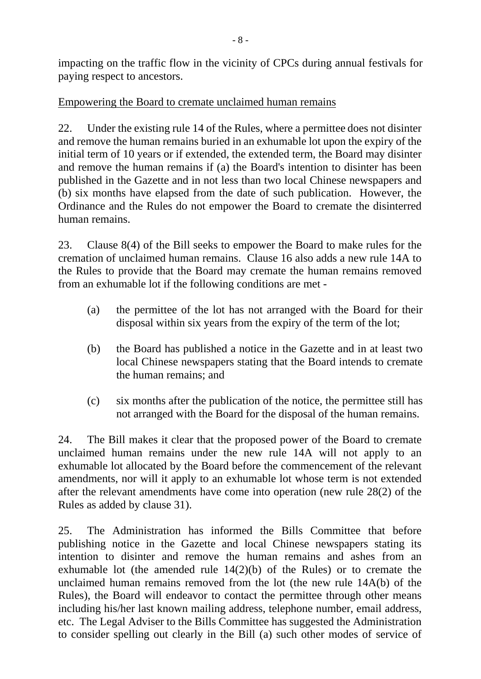impacting on the traffic flow in the vicinity of CPCs during annual festivals for paying respect to ancestors.

# Empowering the Board to cremate unclaimed human remains

22. Under the existing rule 14 of the Rules, where a permittee does not disinter and remove the human remains buried in an exhumable lot upon the expiry of the initial term of 10 years or if extended, the extended term, the Board may disinter and remove the human remains if (a) the Board's intention to disinter has been published in the Gazette and in not less than two local Chinese newspapers and (b) six months have elapsed from the date of such publication. However, the Ordinance and the Rules do not empower the Board to cremate the disinterred human remains.

23. Clause 8(4) of the Bill seeks to empower the Board to make rules for the cremation of unclaimed human remains. Clause 16 also adds a new rule 14A to the Rules to provide that the Board may cremate the human remains removed from an exhumable lot if the following conditions are met -

- (a) the permittee of the lot has not arranged with the Board for their disposal within six years from the expiry of the term of the lot;
- (b) the Board has published a notice in the Gazette and in at least two local Chinese newspapers stating that the Board intends to cremate the human remains; and
- (c) six months after the publication of the notice, the permittee still has not arranged with the Board for the disposal of the human remains.

24. The Bill makes it clear that the proposed power of the Board to cremate unclaimed human remains under the new rule 14A will not apply to an exhumable lot allocated by the Board before the commencement of the relevant amendments, nor will it apply to an exhumable lot whose term is not extended after the relevant amendments have come into operation (new rule 28(2) of the Rules as added by clause 31).

25. The Administration has informed the Bills Committee that before publishing notice in the Gazette and local Chinese newspapers stating its intention to disinter and remove the human remains and ashes from an exhumable lot (the amended rule 14(2)(b) of the Rules) or to cremate the unclaimed human remains removed from the lot (the new rule 14A(b) of the Rules), the Board will endeavor to contact the permittee through other means including his/her last known mailing address, telephone number, email address, etc. The Legal Adviser to the Bills Committee has suggested the Administration to consider spelling out clearly in the Bill (a) such other modes of service of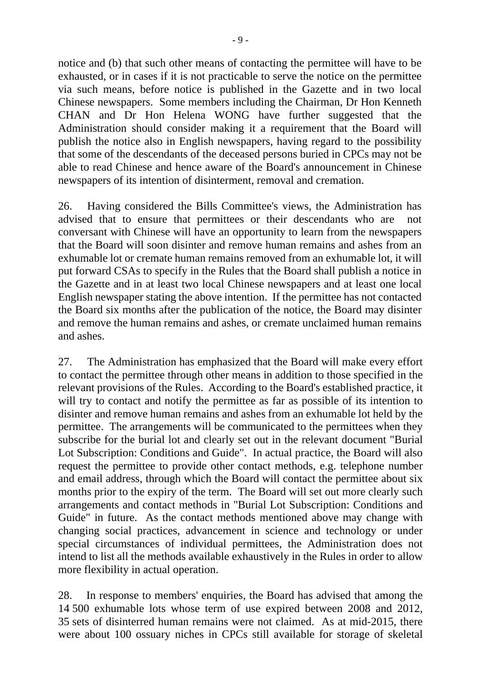notice and (b) that such other means of contacting the permittee will have to be exhausted, or in cases if it is not practicable to serve the notice on the permittee via such means, before notice is published in the Gazette and in two local Chinese newspapers. Some members including the Chairman, Dr Hon Kenneth CHAN and Dr Hon Helena WONG have further suggested that the Administration should consider making it a requirement that the Board will publish the notice also in English newspapers, having regard to the possibility that some of the descendants of the deceased persons buried in CPCs may not be able to read Chinese and hence aware of the Board's announcement in Chinese newspapers of its intention of disinterment, removal and cremation.

26. Having considered the Bills Committee's views, the Administration has advised that to ensure that permittees or their descendants who are not conversant with Chinese will have an opportunity to learn from the newspapers that the Board will soon disinter and remove human remains and ashes from an exhumable lot or cremate human remains removed from an exhumable lot, it will put forward CSAs to specify in the Rules that the Board shall publish a notice in the Gazette and in at least two local Chinese newspapers and at least one local English newspaper stating the above intention. If the permittee has not contacted the Board six months after the publication of the notice, the Board may disinter and remove the human remains and ashes, or cremate unclaimed human remains and ashes.

27. The Administration has emphasized that the Board will make every effort to contact the permittee through other means in addition to those specified in the relevant provisions of the Rules. According to the Board's established practice, it will try to contact and notify the permittee as far as possible of its intention to disinter and remove human remains and ashes from an exhumable lot held by the permittee. The arrangements will be communicated to the permittees when they subscribe for the burial lot and clearly set out in the relevant document "Burial Lot Subscription: Conditions and Guide". In actual practice, the Board will also request the permittee to provide other contact methods, e.g. telephone number and email address, through which the Board will contact the permittee about six months prior to the expiry of the term. The Board will set out more clearly such arrangements and contact methods in "Burial Lot Subscription: Conditions and Guide" in future. As the contact methods mentioned above may change with changing social practices, advancement in science and technology or under special circumstances of individual permittees, the Administration does not intend to list all the methods available exhaustively in the Rules in order to allow more flexibility in actual operation.

28. In response to members' enquiries, the Board has advised that among the 14 500 exhumable lots whose term of use expired between 2008 and 2012, 35 sets of disinterred human remains were not claimed. As at mid-2015, there were about 100 ossuary niches in CPCs still available for storage of skeletal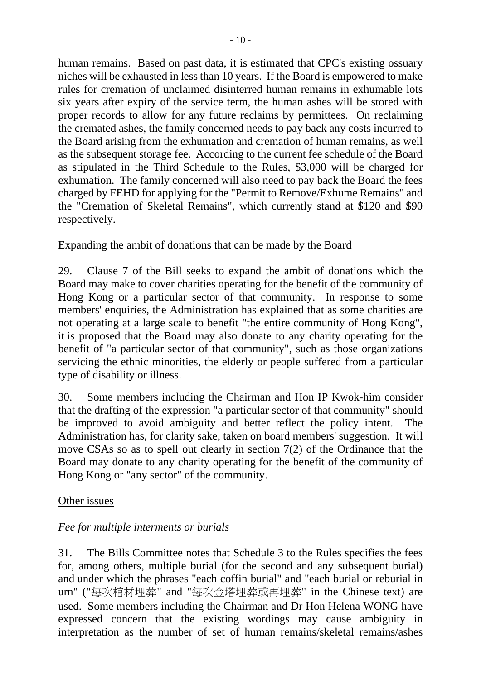human remains. Based on past data, it is estimated that CPC's existing ossuary niches will be exhausted in less than 10 years. If the Board is empowered to make rules for cremation of unclaimed disinterred human remains in exhumable lots six years after expiry of the service term, the human ashes will be stored with proper records to allow for any future reclaims by permittees. On reclaiming the cremated ashes, the family concerned needs to pay back any costs incurred to the Board arising from the exhumation and cremation of human remains, as well as the subsequent storage fee. According to the current fee schedule of the Board as stipulated in the Third Schedule to the Rules, \$3,000 will be charged for exhumation. The family concerned will also need to pay back the Board the fees charged by FEHD for applying for the "Permit to Remove/Exhume Remains" and the "Cremation of Skeletal Remains", which currently stand at \$120 and \$90 respectively.

# Expanding the ambit of donations that can be made by the Board

29. Clause 7 of the Bill seeks to expand the ambit of donations which the Board may make to cover charities operating for the benefit of the community of Hong Kong or a particular sector of that community. In response to some members' enquiries, the Administration has explained that as some charities are not operating at a large scale to benefit "the entire community of Hong Kong", it is proposed that the Board may also donate to any charity operating for the benefit of "a particular sector of that community", such as those organizations servicing the ethnic minorities, the elderly or people suffered from a particular type of disability or illness.

30. Some members including the Chairman and Hon IP Kwok-him consider that the drafting of the expression "a particular sector of that community" should be improved to avoid ambiguity and better reflect the policy intent. The Administration has, for clarity sake, taken on board members' suggestion. It will move CSAs so as to spell out clearly in section 7(2) of the Ordinance that the Board may donate to any charity operating for the benefit of the community of Hong Kong or "any sector" of the community.

# Other issues

# *Fee for multiple interments or burials*

31. The Bills Committee notes that Schedule 3 to the Rules specifies the fees for, among others, multiple burial (for the second and any subsequent burial) and under which the phrases "each coffin burial" and "each burial or reburial in urn" ("每次棺材埋葬" and "每次金塔埋葬或再埋葬" in the Chinese text) are used. Some members including the Chairman and Dr Hon Helena WONG have expressed concern that the existing wordings may cause ambiguity in interpretation as the number of set of human remains/skeletal remains/ashes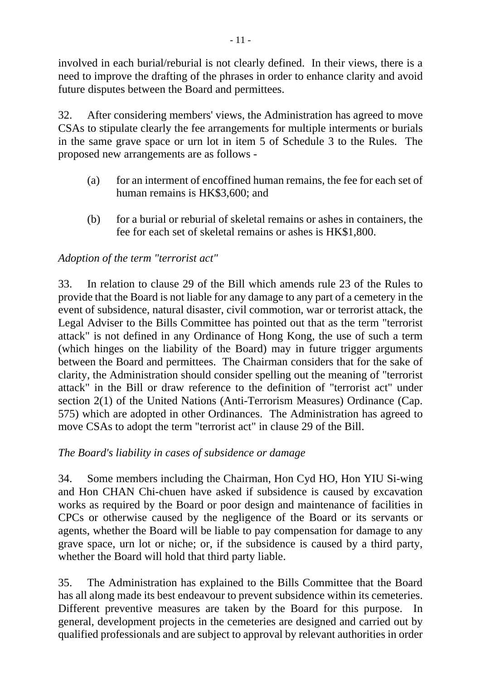involved in each burial/reburial is not clearly defined. In their views, there is a need to improve the drafting of the phrases in order to enhance clarity and avoid future disputes between the Board and permittees.

32. After considering members' views, the Administration has agreed to move CSAs to stipulate clearly the fee arrangements for multiple interments or burials in the same grave space or urn lot in item 5 of Schedule 3 to the Rules. The proposed new arrangements are as follows -

- (a) for an interment of encoffined human remains, the fee for each set of human remains is HK\$3,600; and
- (b) for a burial or reburial of skeletal remains or ashes in containers, the fee for each set of skeletal remains or ashes is HK\$1,800.

# *Adoption of the term "terrorist act"*

33. In relation to clause 29 of the Bill which amends rule 23 of the Rules to provide that the Board is not liable for any damage to any part of a cemetery in the event of subsidence, natural disaster, civil commotion, war or terrorist attack, the Legal Adviser to the Bills Committee has pointed out that as the term "terrorist attack" is not defined in any Ordinance of Hong Kong, the use of such a term (which hinges on the liability of the Board) may in future trigger arguments between the Board and permittees. The Chairman considers that for the sake of clarity, the Administration should consider spelling out the meaning of "terrorist attack" in the Bill or draw reference to the definition of "terrorist act" under section 2(1) of the United Nations (Anti-Terrorism Measures) Ordinance (Cap. 575) which are adopted in other Ordinances. The Administration has agreed to move CSAs to adopt the term "terrorist act" in clause 29 of the Bill.

# *The Board's liability in cases of subsidence or damage*

34. Some members including the Chairman, Hon Cyd HO, Hon YIU Si-wing and Hon CHAN Chi-chuen have asked if subsidence is caused by excavation works as required by the Board or poor design and maintenance of facilities in CPCs or otherwise caused by the negligence of the Board or its servants or agents, whether the Board will be liable to pay compensation for damage to any grave space, urn lot or niche; or, if the subsidence is caused by a third party, whether the Board will hold that third party liable.

35. The Administration has explained to the Bills Committee that the Board has all along made its best endeavour to prevent subsidence within its cemeteries. Different preventive measures are taken by the Board for this purpose. In general, development projects in the cemeteries are designed and carried out by qualified professionals and are subject to approval by relevant authorities in order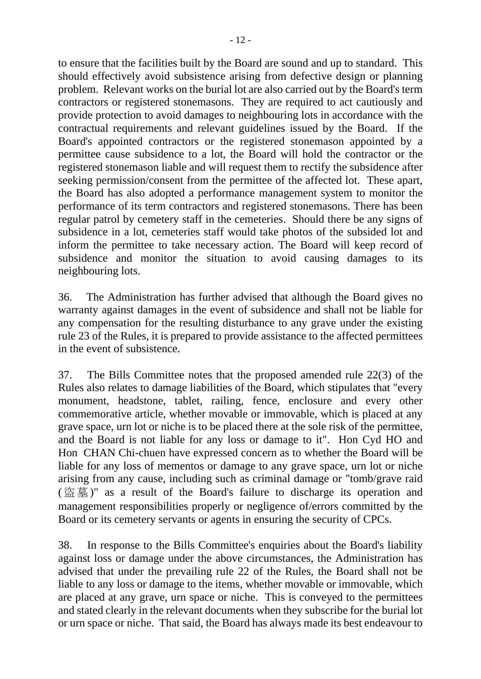to ensure that the facilities built by the Board are sound and up to standard. This should effectively avoid subsistence arising from defective design or planning problem. Relevant works on the burial lot are also carried out by the Board's term contractors or registered stonemasons. They are required to act cautiously and provide protection to avoid damages to neighbouring lots in accordance with the contractual requirements and relevant guidelines issued by the Board. If the Board's appointed contractors or the registered stonemason appointed by a permittee cause subsidence to a lot, the Board will hold the contractor or the registered stonemason liable and will request them to rectify the subsidence after seeking permission/consent from the permittee of the affected lot. These apart, the Board has also adopted a performance management system to monitor the performance of its term contractors and registered stonemasons. There has been regular patrol by cemetery staff in the cemeteries. Should there be any signs of subsidence in a lot, cemeteries staff would take photos of the subsided lot and inform the permittee to take necessary action. The Board will keep record of subsidence and monitor the situation to avoid causing damages to its neighbouring lots.

36. The Administration has further advised that although the Board gives no warranty against damages in the event of subsidence and shall not be liable for any compensation for the resulting disturbance to any grave under the existing rule 23 of the Rules, it is prepared to provide assistance to the affected permittees in the event of subsistence.

37. The Bills Committee notes that the proposed amended rule 22(3) of the Rules also relates to damage liabilities of the Board, which stipulates that "every monument, headstone, tablet, railing, fence, enclosure and every other commemorative article, whether movable or immovable, which is placed at any grave space, urn lot or niche is to be placed there at the sole risk of the permittee, and the Board is not liable for any loss or damage to it". Hon Cyd HO and Hon CHAN Chi-chuen have expressed concern as to whether the Board will be liable for any loss of mementos or damage to any grave space, urn lot or niche arising from any cause, including such as criminal damage or "tomb/grave raid (盜墓)" as a result of the Board's failure to discharge its operation and management responsibilities properly or negligence of/errors committed by the Board or its cemetery servants or agents in ensuring the security of CPCs.

38. In response to the Bills Committee's enquiries about the Board's liability against loss or damage under the above circumstances, the Administration has advised that under the prevailing rule 22 of the Rules, the Board shall not be liable to any loss or damage to the items, whether movable or immovable, which are placed at any grave, urn space or niche. This is conveyed to the permittees and stated clearly in the relevant documents when they subscribe for the burial lot or urn space or niche. That said, the Board has always made its best endeavour to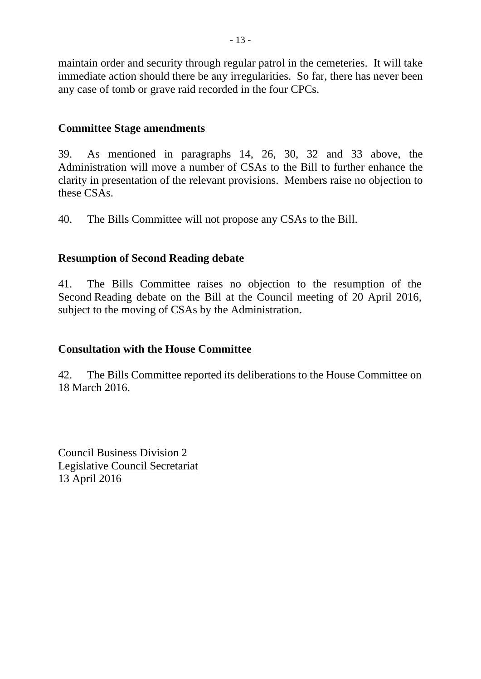maintain order and security through regular patrol in the cemeteries. It will take immediate action should there be any irregularities. So far, there has never been any case of tomb or grave raid recorded in the four CPCs.

#### **Committee Stage amendments**

39. As mentioned in paragraphs 14, 26, 30, 32 and 33 above, the Administration will move a number of CSAs to the Bill to further enhance the clarity in presentation of the relevant provisions. Members raise no objection to these CSAs.

40. The Bills Committee will not propose any CSAs to the Bill.

# **Resumption of Second Reading debate**

41. The Bills Committee raises no objection to the resumption of the Second Reading debate on the Bill at the Council meeting of 20 April 2016, subject to the moving of CSAs by the Administration.

# **Consultation with the House Committee**

42. The Bills Committee reported its deliberations to the House Committee on 18 March 2016.

Council Business Division 2 Legislative Council Secretariat 13 April 2016